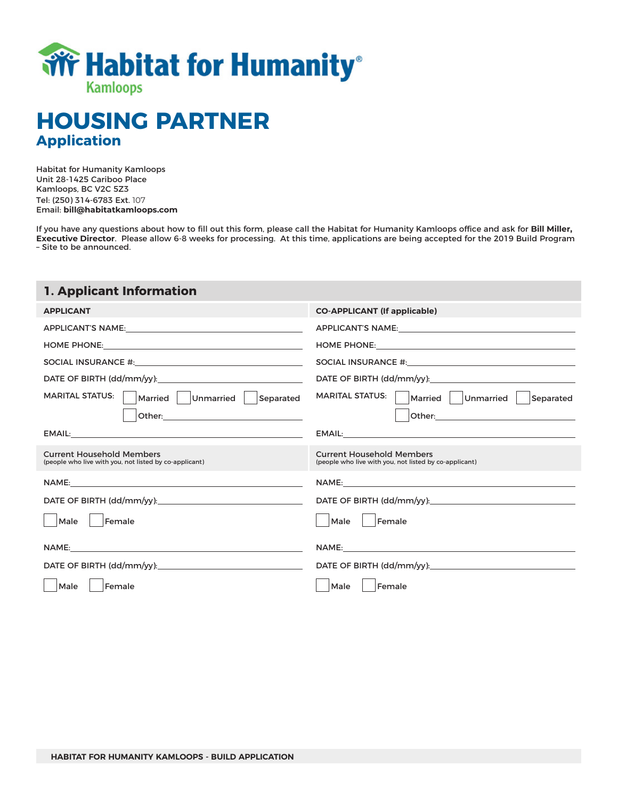

# **HOUSING PARTNER Application**

Habitat for Humanity Kamloops Unit 28-1425 Cariboo Place Kamloops, BC V2C 5Z3 Tel: (250) 314-6783 Ext. 107 Email: **bill@habitatkamloops.com**

If you have any questions about how to fill out this form, please call the Habitat for Humanity Kamloops office and ask for **Bill Miller, Executive Director**. Please allow 6-8 weeks for processing. At this time, applications are being accepted for the 2019 Build Program – Site to be announced.

# **1. Applicant Information**

| <b>APPLICANT</b>                                                                                                                                                                                                               | <b>CO-APPLICANT (If applicable)</b>                                                        |
|--------------------------------------------------------------------------------------------------------------------------------------------------------------------------------------------------------------------------------|--------------------------------------------------------------------------------------------|
|                                                                                                                                                                                                                                |                                                                                            |
|                                                                                                                                                                                                                                |                                                                                            |
|                                                                                                                                                                                                                                | SOCIAL INSURANCE #: University of the SOCIAL INSURANCE #:                                  |
|                                                                                                                                                                                                                                |                                                                                            |
| <b>MARITAL STATUS:</b><br>Married   Unmarried  <br>Separated                                                                                                                                                                   | <b>MARITAL STATUS:</b><br>Married   Unmarried<br>Separated                                 |
|                                                                                                                                                                                                                                |                                                                                            |
|                                                                                                                                                                                                                                |                                                                                            |
| <b>Current Household Members</b><br>(people who live with you, not listed by co-applicant)                                                                                                                                     | <b>Current Household Members</b><br>(people who live with you, not listed by co-applicant) |
| NAME: the contract of the contract of the contract of the contract of the contract of the contract of the contract of the contract of the contract of the contract of the contract of the contract of the contract of the cont | NAME: WE ARRAIGNMENT CONTINUES.                                                            |
|                                                                                                                                                                                                                                | DATE OF BIRTH (dd/mm/yy):                                                                  |
| Male<br>Female                                                                                                                                                                                                                 | Female<br>Male                                                                             |
| NAME:                                                                                                                                                                                                                          |                                                                                            |
|                                                                                                                                                                                                                                | DATE OF BIRTH (dd/mm/yy):                                                                  |
| Male<br>Female                                                                                                                                                                                                                 | Female<br>Male                                                                             |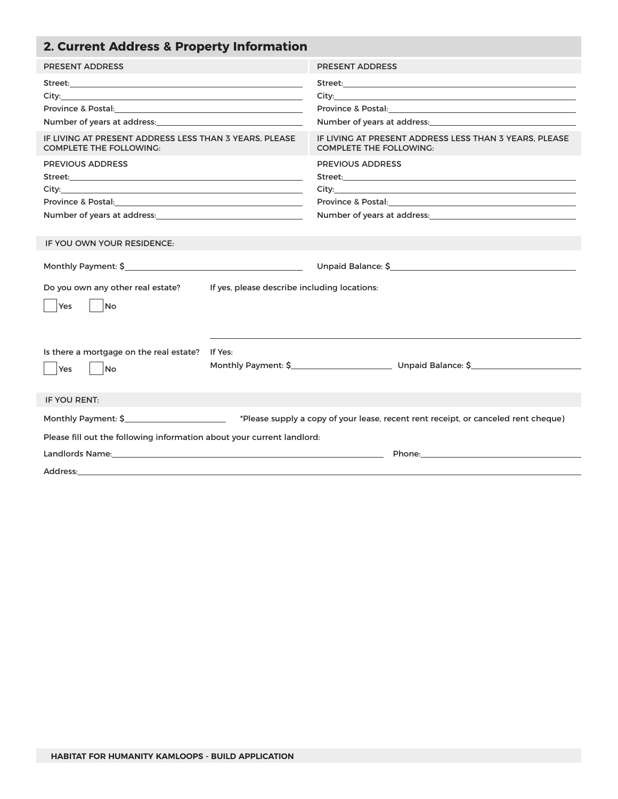| <b>PRESENT ADDRESS</b><br><b>PRESENT ADDRESS</b><br>Province & Postal: North Management Contract of the Contract of the Contract of the Contract of the Contract of the Contract of the Contract of the Contract of the Contract of the Contract of the Contract of the Contract o<br>Number of years at address: Number of years at address:<br>Number of years at address: Number of years at address:<br>IF LIVING AT PRESENT ADDRESS LESS THAN 3 YEARS. PLEASE<br>IF LIVING AT PRESENT ADDRESS LESS THAN 3 YEARS. PLEASE<br><b>COMPLETE THE FOLLOWING:</b><br><b>COMPLETE THE FOLLOWING:</b><br><b>PREVIOUS ADDRESS</b><br><b>PREVIOUS ADDRESS</b><br>Province & Postal: 2008 and 2008 and 2010 and 2010 and 2010 and 2010 and 2010 and 2010 and 2010 and 2010 and 20<br>Number of years at address:<br><u>Number of years at address:</u><br>Number of years at address: Number of years at address: |  |
|-----------------------------------------------------------------------------------------------------------------------------------------------------------------------------------------------------------------------------------------------------------------------------------------------------------------------------------------------------------------------------------------------------------------------------------------------------------------------------------------------------------------------------------------------------------------------------------------------------------------------------------------------------------------------------------------------------------------------------------------------------------------------------------------------------------------------------------------------------------------------------------------------------------|--|
|                                                                                                                                                                                                                                                                                                                                                                                                                                                                                                                                                                                                                                                                                                                                                                                                                                                                                                           |  |
|                                                                                                                                                                                                                                                                                                                                                                                                                                                                                                                                                                                                                                                                                                                                                                                                                                                                                                           |  |
|                                                                                                                                                                                                                                                                                                                                                                                                                                                                                                                                                                                                                                                                                                                                                                                                                                                                                                           |  |
|                                                                                                                                                                                                                                                                                                                                                                                                                                                                                                                                                                                                                                                                                                                                                                                                                                                                                                           |  |
| IF YOU OWN YOUR RESIDENCE:                                                                                                                                                                                                                                                                                                                                                                                                                                                                                                                                                                                                                                                                                                                                                                                                                                                                                |  |
| Unpaid Balance: \$ 1000 million and the state of the state of the state of the state of the state of the state of the state of the state of the state of the state of the state of the state of the state of the state of the s<br>Do you own any other real estate?<br>If yes, please describe including locations:<br>Yes<br>No                                                                                                                                                                                                                                                                                                                                                                                                                                                                                                                                                                         |  |
| Is there a mortgage on the real estate?<br>If Yes:<br>Monthly Payment: \$ Unpaid Balance: \$<br>Yes<br>No                                                                                                                                                                                                                                                                                                                                                                                                                                                                                                                                                                                                                                                                                                                                                                                                 |  |
| IF YOU RENT:                                                                                                                                                                                                                                                                                                                                                                                                                                                                                                                                                                                                                                                                                                                                                                                                                                                                                              |  |
| Monthly Payment: \$ Please supply a copy of your lease, recent rent receipt, or canceled rent cheque)<br>Please fill out the following information about your current landlord:                                                                                                                                                                                                                                                                                                                                                                                                                                                                                                                                                                                                                                                                                                                           |  |
| Address:                                                                                                                                                                                                                                                                                                                                                                                                                                                                                                                                                                                                                                                                                                                                                                                                                                                                                                  |  |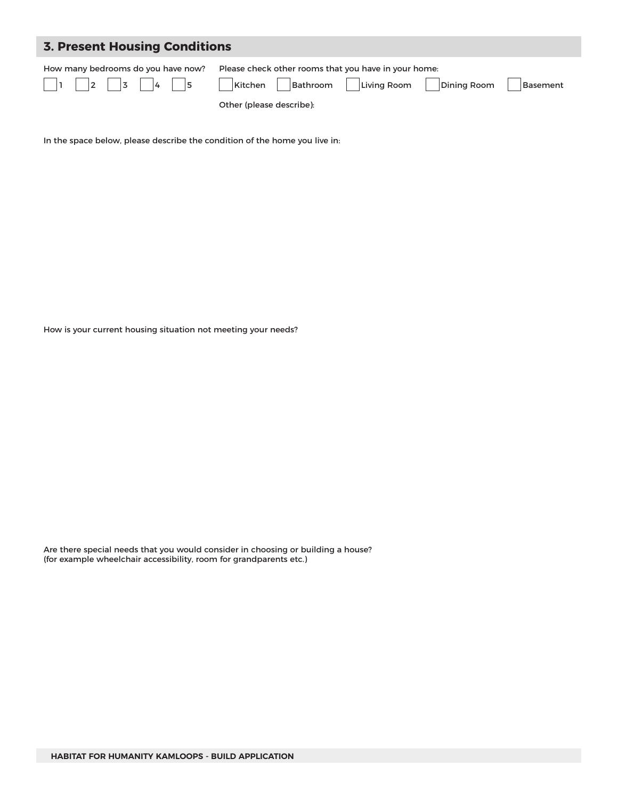| <b>3. Present Housing Conditions</b> |                                                                                                                                                   |  |  |
|--------------------------------------|---------------------------------------------------------------------------------------------------------------------------------------------------|--|--|
| How many bedrooms do you have now?   | Please check other rooms that you have in your home:<br>Kitchen   Bathroom   Living Room  <br>Dining Room<br>Basement<br>Other (please describe): |  |  |

In the space below, please describe the condition of the home you live in:

How is your current housing situation not meeting your needs?

Are there special needs that you would consider in choosing or building a house? (for example wheelchair accessibility, room for grandparents etc.)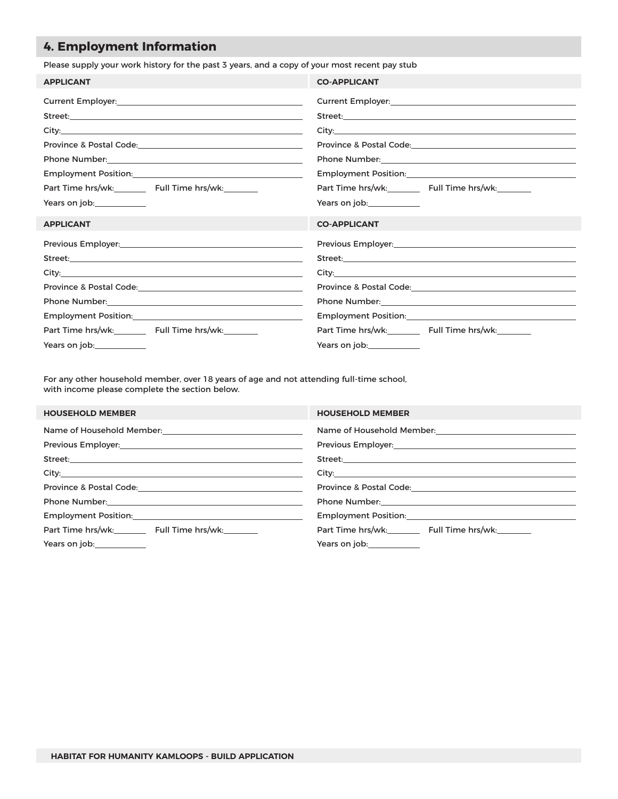# **4. Employment Information**

Please supply your work history for the past 3 years, and a copy of your most recent pay stub

| <b>APPLICANT</b>                                                                                              | <b>CO-APPLICANT</b>                                                                                                                                                                                                                  |
|---------------------------------------------------------------------------------------------------------------|--------------------------------------------------------------------------------------------------------------------------------------------------------------------------------------------------------------------------------------|
|                                                                                                               |                                                                                                                                                                                                                                      |
|                                                                                                               |                                                                                                                                                                                                                                      |
|                                                                                                               |                                                                                                                                                                                                                                      |
|                                                                                                               |                                                                                                                                                                                                                                      |
| Phone Number: 2008 - 2012 - 2022 - 2023 - 2023 - 2023 - 2024 - 2022 - 2023 - 2024 - 2022 - 2023 - 2023 - 2023 |                                                                                                                                                                                                                                      |
|                                                                                                               |                                                                                                                                                                                                                                      |
| Part Time hrs/wk:_________ Full Time hrs/wk:________                                                          | Part Time hrs/wk:_________ Full Time hrs/wk:________                                                                                                                                                                                 |
| Years on job: Vears on job:                                                                                   | Years on job: Vears on job:                                                                                                                                                                                                          |
| <b>APPLICANT</b>                                                                                              | <b>CO-APPLICANT</b>                                                                                                                                                                                                                  |
|                                                                                                               |                                                                                                                                                                                                                                      |
|                                                                                                               | Street: <u>Andreas and American and American and American and American and American and American and American and American and American and American and American and American and American and American and American and Americ</u> |
|                                                                                                               |                                                                                                                                                                                                                                      |
|                                                                                                               |                                                                                                                                                                                                                                      |
|                                                                                                               | Phone Number: 2008 2010 2020 2020 2020 2021 2021 2022 2021 2022 2021 2022 2022 2021 2022 2021 2022 2022 2022 20                                                                                                                      |
|                                                                                                               |                                                                                                                                                                                                                                      |
| Part Time hrs/wk:_________ Full Time hrs/wk:________                                                          | Part Time hrs/wk:_________ Full Time hrs/wk:_______                                                                                                                                                                                  |
|                                                                                                               |                                                                                                                                                                                                                                      |

For any other household member, over 18 years of age and not attending full-time school, with income please complete the section below.

| <b>HOUSEHOLD MEMBER</b>                                                                                                                                                                                                        | <b>HOUSEHOLD MEMBER</b>                                                                                         |
|--------------------------------------------------------------------------------------------------------------------------------------------------------------------------------------------------------------------------------|-----------------------------------------------------------------------------------------------------------------|
|                                                                                                                                                                                                                                | Name of Household Member: Name of Household Member:                                                             |
| Previous Employer: 1990 1991 1992 1994                                                                                                                                                                                         |                                                                                                                 |
|                                                                                                                                                                                                                                |                                                                                                                 |
|                                                                                                                                                                                                                                |                                                                                                                 |
|                                                                                                                                                                                                                                | Province & Postal Code: 2008 2008 2010 2010 2010 2010 2010 2011 2020 2021 2021 2022 2023 2024 2025 2026 2027 20 |
|                                                                                                                                                                                                                                |                                                                                                                 |
| Employment Position: Notified that the contract of the contract of the contract of the contract of the contract of the contract of the contract of the contract of the contract of the contract of the contract of the contrac | <b>Employment Position:</b> Employment Position:                                                                |
| Part Time hrs/wk: Full Time hrs/wk:                                                                                                                                                                                            | Part Time hrs/wk: Full Time hrs/wk:                                                                             |
| Years on job:_____________                                                                                                                                                                                                     | Years on job:_____________                                                                                      |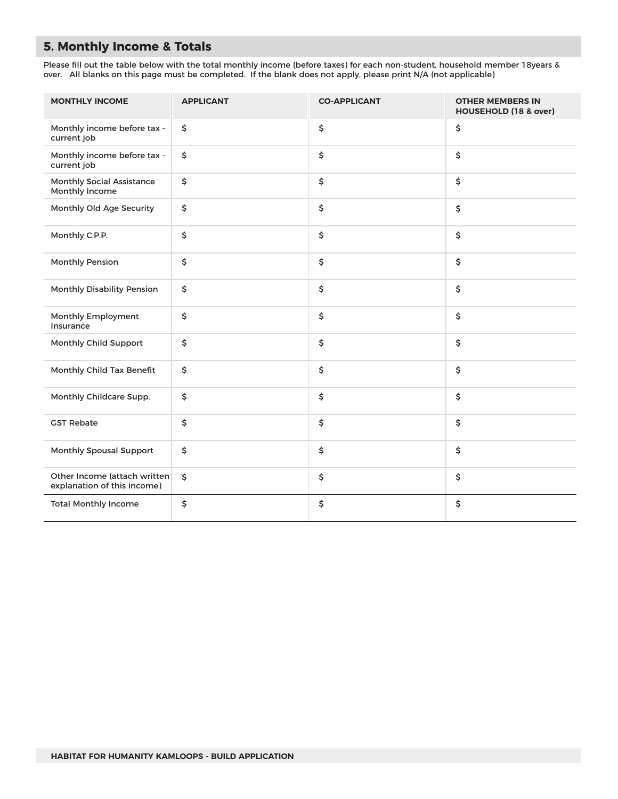# **5. Monthly Income & Totals**

Please fill out the table below with the total monthly income (before taxes) for each non-student, household member 18years & over. All blanks on this page must be completed. If the blank does not apply, please print N/A (not applicable)

| <b>MONTHLY INCOME</b>                                       | <b>APPLICANT</b> | <b>CO-APPLICANT</b> | <b>OTHER MEMBERS IN</b><br>HOUSEHOLD (18 & over) |
|-------------------------------------------------------------|------------------|---------------------|--------------------------------------------------|
| Monthly income before tax -<br>current job                  | \$               | \$                  | \$                                               |
| Monthly income before tax -<br>current job                  | \$               | \$                  | \$                                               |
| <b>Monthly Social Assistance</b><br>Monthly Income          | \$               | \$                  | \$                                               |
| Monthly Old Age Security                                    | \$               | \$                  | \$                                               |
| Monthly C.P.P.                                              | \$               | \$                  | \$                                               |
| <b>Monthly Pension</b>                                      | \$               | \$                  | \$                                               |
| <b>Monthly Disability Pension</b>                           | \$               | \$                  | \$                                               |
| Monthly Employment<br>Insurance                             | \$               | \$                  | \$                                               |
| Monthly Child Support                                       | \$               | \$                  | \$                                               |
| Monthly Child Tax Benefit                                   | \$               | \$                  | \$                                               |
| Monthly Childcare Supp.                                     | \$               | \$                  | \$                                               |
| <b>GST Rebate</b>                                           | \$               | \$                  | \$                                               |
| <b>Monthly Spousal Support</b>                              | \$               | \$                  | \$                                               |
| Other Income (attach written<br>explanation of this income) | \$               | \$                  | \$                                               |
| <b>Total Monthly Income</b>                                 | \$               | \$                  | \$                                               |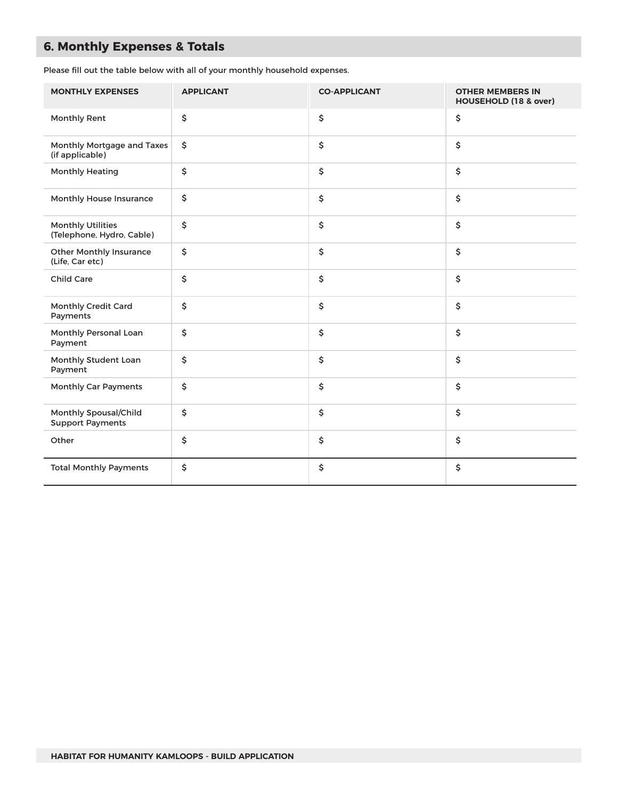# **6. Monthly Expenses & Totals**

Please fill out the table below with all of your monthly household expenses.

| <b>MONTHLY EXPENSES</b>                               | <b>APPLICANT</b> | <b>CO-APPLICANT</b> | <b>OTHER MEMBERS IN</b><br>HOUSEHOLD (18 & over) |
|-------------------------------------------------------|------------------|---------------------|--------------------------------------------------|
| Monthly Rent                                          | \$               | \$                  | \$                                               |
| Monthly Mortgage and Taxes<br>(if applicable)         | \$               | \$                  | \$                                               |
| <b>Monthly Heating</b>                                | \$               | \$                  | \$                                               |
| Monthly House Insurance                               | \$               | \$                  | \$                                               |
| <b>Monthly Utilities</b><br>(Telephone, Hydro, Cable) | \$               | \$                  | \$                                               |
| <b>Other Monthly Insurance</b><br>(Life, Car etc)     | \$               | \$                  | \$                                               |
| <b>Child Care</b>                                     | \$               | \$                  | \$                                               |
| Monthly Credit Card<br>Payments                       | \$               | \$                  | \$                                               |
| Monthly Personal Loan<br>Payment                      | \$               | \$                  | \$                                               |
| Monthly Student Loan<br>Payment                       | \$               | \$                  | \$                                               |
| <b>Monthly Car Payments</b>                           | \$               | \$                  | \$                                               |
| Monthly Spousal/Child<br><b>Support Payments</b>      | \$               | \$                  | \$                                               |
| Other                                                 | \$               | \$                  | \$                                               |
| <b>Total Monthly Payments</b>                         | \$               | \$                  | \$                                               |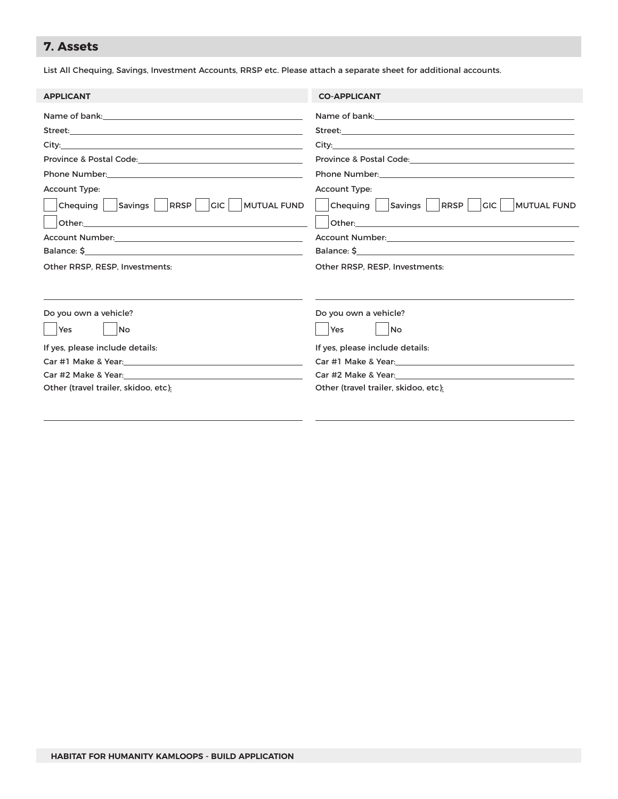# **7. Assets**

List All Chequing, Savings, Investment Accounts, RRSP etc. Please attach a separate sheet for additional accounts.

| <b>APPLICANT</b>                                                                                                                                                                                                               | <b>CO-APPLICANT</b>                                                                                           |
|--------------------------------------------------------------------------------------------------------------------------------------------------------------------------------------------------------------------------------|---------------------------------------------------------------------------------------------------------------|
|                                                                                                                                                                                                                                |                                                                                                               |
| Street: with a street of the street of the street of the street of the street of the street of the street of the street of the street of the street of the street of the street of the street of the street of the street of t |                                                                                                               |
|                                                                                                                                                                                                                                |                                                                                                               |
|                                                                                                                                                                                                                                |                                                                                                               |
|                                                                                                                                                                                                                                |                                                                                                               |
| <b>Account Type:</b>                                                                                                                                                                                                           | Account Type:                                                                                                 |
| Savings   RRSP  <br>Chequing<br><b>CIC   MUTUAL FUND</b>                                                                                                                                                                       | Chequing  <br>Savings   RRSP  <br>$ $ GIC $ $<br><b>MUTUAL FUND</b>                                           |
| Other:<br><u> 1980 - Johann Barbara, martxa alemaniar arg</u>                                                                                                                                                                  |                                                                                                               |
|                                                                                                                                                                                                                                |                                                                                                               |
|                                                                                                                                                                                                                                |                                                                                                               |
| Other RRSP, RESP, Investments:                                                                                                                                                                                                 | Other RRSP, RESP, Investments:                                                                                |
| Do you own a vehicle?<br>Yes<br>No                                                                                                                                                                                             | Do you own a vehicle?<br>Yes<br>No                                                                            |
| If yes, please include details:                                                                                                                                                                                                | If yes, please include details:                                                                               |
|                                                                                                                                                                                                                                |                                                                                                               |
| Car #2 Make & Year: New York 2014 19:00 19:00 19:00 19:00 19:00 19:00 19:00 19:00 19:00 19:00 19:00 19:00 19:0                                                                                                                 | Car #2 Make & Year: National Care and Care and Care and Care and Care and Care and Care and Care and Care and |
| Other (travel trailer, skidoo, etc):                                                                                                                                                                                           | Other (travel trailer, skidoo, etc):                                                                          |
|                                                                                                                                                                                                                                |                                                                                                               |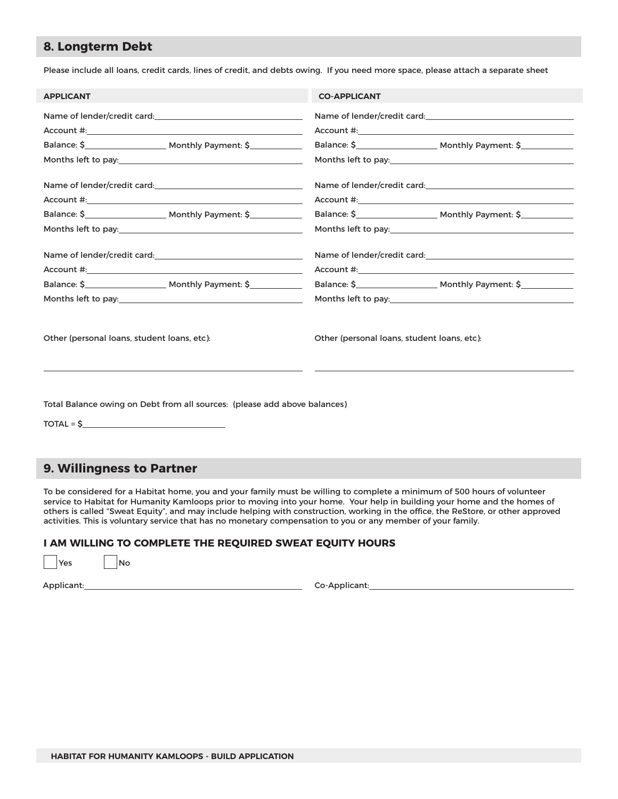### **8. Longterm Debt**

Please include all loans, credit cards, lines of credit, and debts owing. If you need more space, please attach a separate sheet

| <b>APPLICANT</b>                            |                                                                                                                                                                                                                                | <b>CO-APPLICANT</b> |                                             |
|---------------------------------------------|--------------------------------------------------------------------------------------------------------------------------------------------------------------------------------------------------------------------------------|---------------------|---------------------------------------------|
|                                             |                                                                                                                                                                                                                                |                     |                                             |
|                                             |                                                                                                                                                                                                                                |                     |                                             |
|                                             |                                                                                                                                                                                                                                |                     |                                             |
|                                             | Months left to pay: Notified that the same state of the state of the state of the state of the state of the state of the state of the state of the state of the state of the state of the state of the state of the state of t |                     |                                             |
|                                             |                                                                                                                                                                                                                                |                     |                                             |
|                                             |                                                                                                                                                                                                                                |                     |                                             |
|                                             |                                                                                                                                                                                                                                |                     |                                             |
|                                             |                                                                                                                                                                                                                                |                     |                                             |
|                                             |                                                                                                                                                                                                                                |                     |                                             |
|                                             |                                                                                                                                                                                                                                |                     |                                             |
|                                             |                                                                                                                                                                                                                                |                     |                                             |
|                                             |                                                                                                                                                                                                                                |                     |                                             |
| Other (personal loans, student loans, etc): |                                                                                                                                                                                                                                |                     | Other (personal loans, student loans, etc): |
|                                             | Total Balance owing on Debt from all sources: (please add above balances)                                                                                                                                                      |                     |                                             |

 $TOTAL = $$ 

### **9. Willingness to Partner**

To be considered for a Habitat home, you and your family must be willing to complete a minimum of 500 hours of volunteer service to Habitat for Humanity Kamloops prior to moving into your home. Your help in building your home and the homes of others is called "Sweat Equity", and may include helping with construction, working in the office, the ReStore, or other approved activities. This is voluntary service that has no monetary compensation to you or any member of your family.

#### **I AM WILLING TO COMPLETE THE REQUIRED SWEAT EQUITY HOURS**

 $Yes$   $No$ 

Applicant: Co-Applicant: Co-Applicant: Co-Applicant: Co-Applicant: Co-Applicant: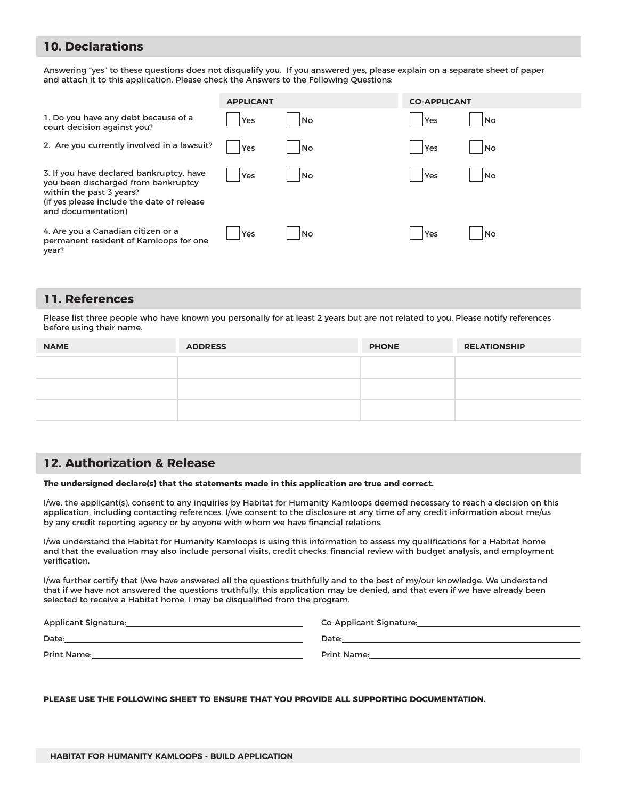### **10. Declarations**

Answering "yes" to these questions does not disqualify you. If you answered yes, please explain on a separate sheet of paper and attach it to this application. Please check the Answers to the Following Questions:

|                                                                                                                                                                                 | <b>APPLICANT</b> |    | <b>CO-APPLICANT</b> |    |
|---------------------------------------------------------------------------------------------------------------------------------------------------------------------------------|------------------|----|---------------------|----|
| 1. Do you have any debt because of a<br>court decision against you?                                                                                                             | Yes              | No | Yes                 | No |
| 2. Are you currently involved in a lawsuit?                                                                                                                                     | Yes              | No | Yes                 | No |
| 3. If you have declared bankruptcy, have<br>you been discharged from bankruptcy<br>within the past 3 years?<br>(if yes please include the date of release<br>and documentation) | Yes              | No | Yes                 | No |
| 4. Are you a Canadian citizen or a<br>permanent resident of Kamloops for one<br>year?                                                                                           | Yes              | No | Yes                 | No |

### **11. References**

Please list three people who have known you personally for at least 2 years but are not related to you. Please notify references before using their name.

| <b>NAME</b> | <b>ADDRESS</b> | <b>PHONE</b> | <b>RELATIONSHIP</b> |
|-------------|----------------|--------------|---------------------|
|             |                |              |                     |
|             |                |              |                     |
|             |                |              |                     |

### **12. Authorization & Release**

#### **The undersigned declare(s) that the statements made in this application are true and correct.**

I/we, the applicant(s), consent to any inquiries by Habitat for Humanity Kamloops deemed necessary to reach a decision on this application, including contacting references. I/we consent to the disclosure at any time of any credit information about me/us by any credit reporting agency or by anyone with whom we have financial relations.

I/we understand the Habitat for Humanity Kamloops is using this information to assess my qualifications for a Habitat home and that the evaluation may also include personal visits, credit checks, financial review with budget analysis, and employment verification.

I/we further certify that I/we have answered all the questions truthfully and to the best of my/our knowledge. We understand that if we have not answered the questions truthfully, this application may be denied, and that even if we have already been selected to receive a Habitat home, I may be disqualified from the program.

| Applicant Signature: | Co-Applicant Signature: |
|----------------------|-------------------------|
| Date:                | Date:                   |
| Print Name:          | <b>Print Name:</b>      |

**PLEASE USE THE FOLLOWING SHEET TO ENSURE THAT YOU PROVIDE ALL SUPPORTING DOCUMENTATION.**